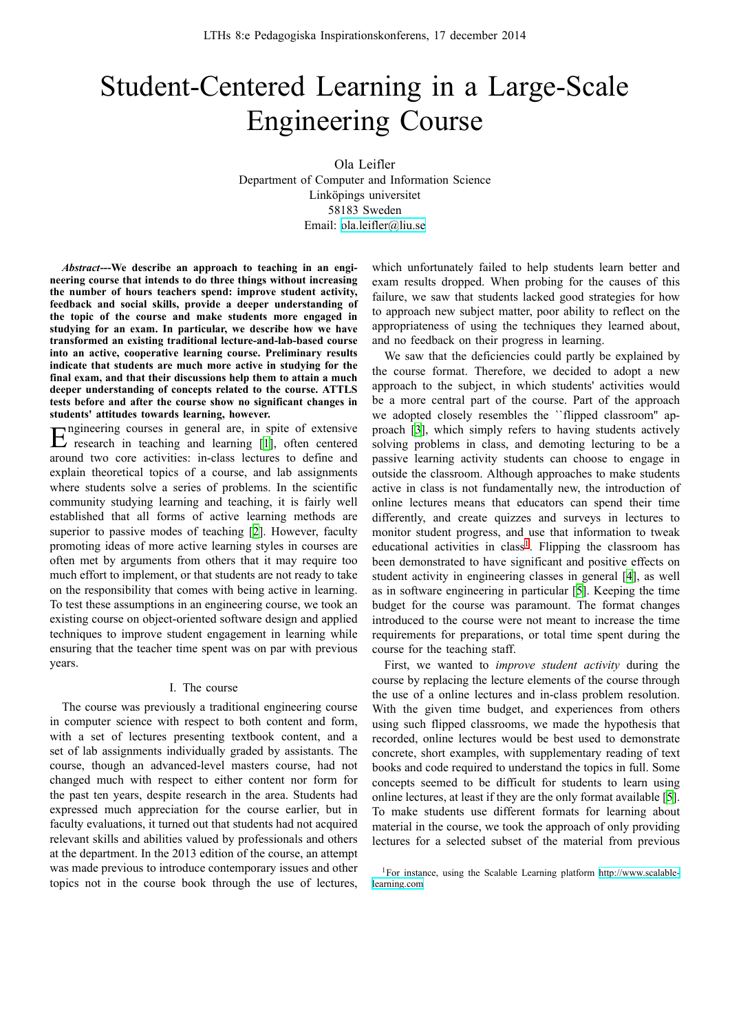# Student-Centered Learning in a Large-Scale Engineering Course

Ola Leifler Department of Computer and Information Science Linköpings universitet 58183 Sweden Email: ola.leifler@liu.se

*Abstract***---We describe an approach to teaching in an engineering course that intends to do three things without increasing the number of hours teachers spend: improve student activity, feedback and social skills, provide a deeper understanding of the topic of the course and make students more engaged in studying for an exam. In particular, we describe how we have transformed an existing traditional lecture-and-lab-based course into an active, cooperative learning course. Preliminary results indicate that students are much more active in studying for the final exam, and that their discussions help them to attain a much deeper understanding of concepts related to the course. ATTLS tests before and after the course show no significant changes in students' attitudes towards learning, however.**

 $E$  research in teaching and learning  $[1]$ , often centered ngineering courses in general are, in spite of extensive around two core activities: in-class lectures to define and explain theoretical topics of a course, and lab assignments where students solve a series of problems. In the scientific community studying learning and teachin[g,](#page-2-0) it is fairly well established that all forms of active learning methods are superior to passive modes of teaching [2]. However, faculty promoting ideas of more active learning styles in courses are often met by arguments from others that it may require too much effort to implement, or that students are not ready to take on the responsibility that comes with bei[ng](#page-2-1) active in learning. To test these assumptions in an engineering course, we took an existing course on object-oriented software design and applied techniques to improve student engagement in learning while ensuring that the teacher time spent was on par with previous years.

## I. The course

The course was previously a traditional engineering course in computer science with respect to both content and form, with a set of lectures presenting textbook content, and a set of lab assignments individually graded by assistants. The course, though an advanced-level masters course, had not changed much with respect to either content nor form for the past ten years, despite research in the area. Students had expressed much appreciation for the course earlier, but in faculty evaluations, it turned out that students had not acquired relevant skills and abilities valued by professionals and others at the department. In the 2013 edition of the course, an attempt was made previous to introduce contemporary issues and other topics not in the course book through the use of lectures,

which unfortunately failed to help students learn better and [exam resul](mailto:ola.leifler@liu.se)ts dropped. When probing for the causes of this failure, we saw that students lacked good strategies for how to approach new subject matter, poor ability to reflect on the appropriateness of using the techniques they learned about, and no feedback on their progress in learning.

We saw that the deficiencies could partly be explained by the course format. Therefore, we decided to adopt a new approach to the subject, in which students' activities would be a more central part of the course. Part of the approach we adopted closely resembles the ``flipped classroom'' approach [3], which simply refers to having students actively solving problems in class, and demoting lecturing to be a passive learning activity students can choose to engage in outside the classroom. Although approaches to make students active i[n c](#page-2-2)lass is not fundamentally new, the introduction of online lectures means that educators can spend their time differently, and create quizzes and surveys in lectures to monitor student progress, and use that information to tweak educational activities in class<sup>1</sup>. Flipping the classroom has been demonstrated to have significant and positive effects on student activity in engineering classes in general [4], as well as in software engineering in particular [5]. Keeping the time budget for the course was p[ar](#page-0-0)amount. The format changes introduced to the course were not meant to increase the time requirements for preparations, or total time spent [d](#page-2-3)uring the course for the teaching staff.

First, we wanted to *improve student activity* during the course by replacing the lecture elements of the course through the use of a online lectures and in-class problem resolution. With the given time budget, and experiences from others using such flipped classrooms, we made the hypothesis that recorded, online lectures would be best used to demonstrate concrete, short examples, with supplementary reading of text books and code required to understand the topics in full. Some concepts seemed to be difficult for students to learn using online lectures, at least if they are the only format available [5]. To make students use different formats for learning about material in the course, we took the approach of only providing lectures for a selected subset of the material from previous

<span id="page-0-0"></span><sup>1</sup>For instance, using the Scalable Learning platform http://www.scalablelearning.com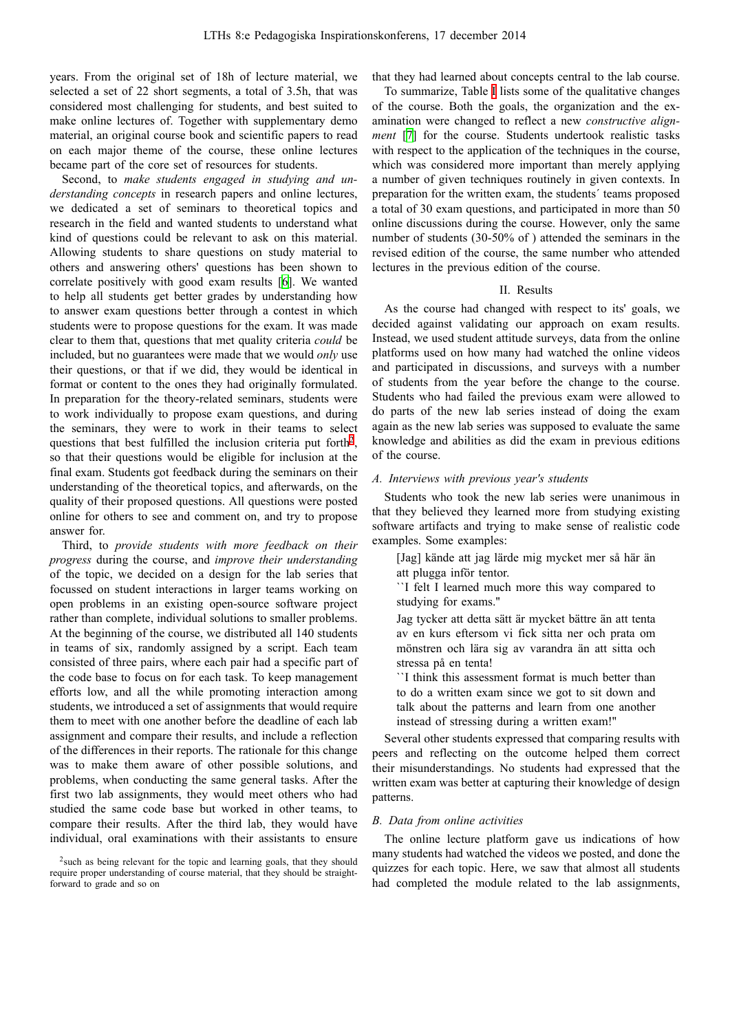years. From the original set of 18h of lecture material, we selected a set of 22 short segments, a total of 3.5h, that was considered most challenging for students, and best suited to make online lectures of. Together with supplementary demo material, an original course book and scientific papers to read on each major theme of the course, these online lectures became part of the core set of resources for students.

Second, to *make students engaged in studying and understanding concepts* in research papers and online lectures, we dedicated a set of seminars to theoretical topics and research in the field and wanted students to understand what kind of questions could be relevant to ask on this material. Allowing students to share questions on study material to others and answering others' questions has been shown to correlate positively with good exam results [\[6](#page-2-4)]. We wanted to help all students get better grades by understanding how to answer exam questions better through a contest in which students were to propose questions for the exam. It was made clear to them that, questions that met quality criteria *could* be included, but no guarantees were made that we would *only* use their questions, or that if we did, they would be identical in format or content to the ones they had originally formulated. In preparation for the theory-related seminars, students were to work individually to propose exam questions, and during the seminars, they were to work in their teams to select questions that best fulfilled the inclusion criteria put forth<sup>[2](#page-1-0)</sup>, so that their questions would be eligible for inclusion at the final exam. Students got feedback during the seminars on their understanding of the theoretical topics, and afterwards, on the quality of their proposed questions. All questions were posted online for others to see and comment on, and try to propose answer for.

Third, to *provide students with more feedback on their progress* during the course, and *improve their understanding* of the topic, we decided on a design for the lab series that focussed on student interactions in larger teams working on open problems in an existing open-source software project rather than complete, individual solutions to smaller problems. At the beginning of the course, we distributed all 140 students in teams of six, randomly assigned by a script. Each team consisted of three pairs, where each pair had a specific part of the code base to focus on for each task. To keep management efforts low, and all the while promoting interaction among students, we introduced a set of assignments that would require them to meet with one another before the deadline of each lab assignment and compare their results, and include a reflection of the differences in their reports. The rationale for this change was to make them aware of other possible solutions, and problems, when conducting the same general tasks. After the first two lab assignments, they would meet others who had studied the same code base but worked in other teams, to compare their results. After the third lab, they would have individual, oral examinations with their assistants to ensure

that they had learned about concepts central to the lab course.

To summarize, Table [I](#page-2-5) lists some of the qualitative changes of the course. Both the goals, the organization and the examination were changed to reflect a new *constructive alignment* [[7\]](#page-2-6) for the course. Students undertook realistic tasks with respect to the application of the techniques in the course, which was considered more important than merely applying a number of given techniques routinely in given contexts. In preparation for the written exam, the students´ teams proposed a total of 30 exam questions, and participated in more than 50 online discussions during the course. However, only the same number of students (30-50% of ) attended the seminars in the revised edition of the course, the same number who attended lectures in the previous edition of the course.

#### II. Results

As the course had changed with respect to its' goals, we decided against validating our approach on exam results. Instead, we used student attitude surveys, data from the online platforms used on how many had watched the online videos and participated in discussions, and surveys with a number of students from the year before the change to the course. Students who had failed the previous exam were allowed to do parts of the new lab series instead of doing the exam again as the new lab series was supposed to evaluate the same knowledge and abilities as did the exam in previous editions of the course.

# *A. Interviews with previous year's students*

Students who took the new lab series were unanimous in that they believed they learned more from studying existing software artifacts and trying to make sense of realistic code examples. Some examples:

[Jag] kände att jag lärde mig mycket mer så här än att plugga inför tentor.

``I felt I learned much more this way compared to studying for exams.''

Jag tycker att detta sätt är mycket bättre än att tenta av en kurs eftersom vi fick sitta ner och prata om mönstren och lära sig av varandra än att sitta och stressa på en tenta!

``I think this assessment format is much better than to do a written exam since we got to sit down and talk about the patterns and learn from one another instead of stressing during a written exam!''

Several other students expressed that comparing results with peers and reflecting on the outcome helped them correct their misunderstandings. No students had expressed that the written exam was better at capturing their knowledge of design patterns.

#### *B. Data from online activities*

The online lecture platform gave us indications of how many students had watched the videos we posted, and done the quizzes for each topic. Here, we saw that almost all students had completed the module related to the lab assignments,

<span id="page-1-0"></span><sup>&</sup>lt;sup>2</sup> such as being relevant for the topic and learning goals, that they should require proper understanding of course material, that they should be straightforward to grade and so on